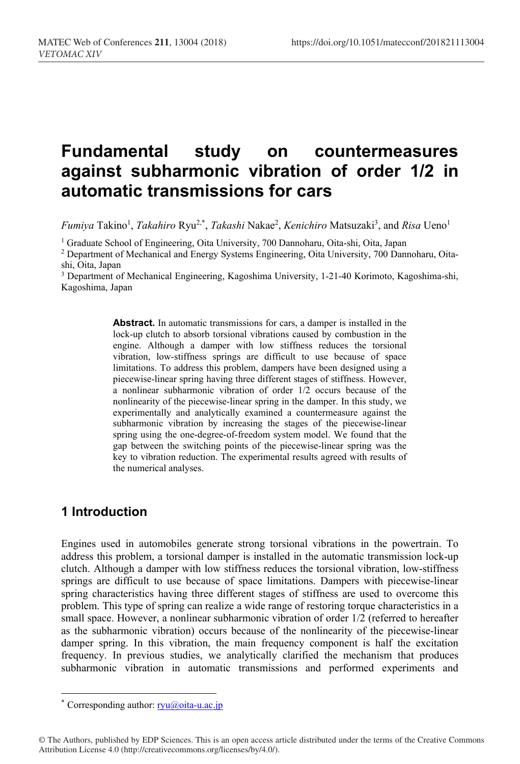# **Fundamental study on countermeasures against subharmonic vibration of order 1/2 in automatic transmissions for cars**

*Fumiya* Takino<sup>1</sup>, *Takahiro* Ryu<sup>2,\*</sup>, *Takashi* Nakae<sup>2</sup>, *Kenichiro* Matsuzaki<sup>3</sup>, and *Risa* Ueno<sup>1</sup>

<sup>1</sup> Graduate School of Engineering, Oita University, 700 Dannoharu, Oita-shi, Oita, Japan  $^2$  Department of Mechanical and Energy Systems Engineering, Oita University, 700 Dannoharu, Oitashi, Oita, Japan

3 Department of Mechanical Engineering, Kagoshima University, 1-21-40 Korimoto, Kagoshima-shi, Kagoshima, Japan

> **Abstract.** In automatic transmissions for cars, a damper is installed in the lock-up clutch to absorb torsional vibrations caused by combustion in the engine. Although a damper with low stiffness reduces the torsional vibration, low-stiffness springs are difficult to use because of space limitations. To address this problem, dampers have been designed using a piecewise-linear spring having three different stages of stiffness. However, a nonlinear subharmonic vibration of order 1/2 occurs because of the nonlinearity of the piecewise-linear spring in the damper. In this study, we experimentally and analytically examined a countermeasure against the subharmonic vibration by increasing the stages of the piecewise-linear spring using the one-degree-of-freedom system model. We found that the gap between the switching points of the piecewise-linear spring was the key to vibration reduction. The experimental results agreed with results of the numerical analyses.

# **1 Introduction**

 $\overline{a}$ 

Engines used in automobiles generate strong torsional vibrations in the powertrain. To address this problem, a torsional damper is installed in the automatic transmission lock-up clutch. Although a damper with low stiffness reduces the torsional vibration, low-stiffness springs are difficult to use because of space limitations. Dampers with piecewise-linear spring characteristics having three different stages of stiffness are used to overcome this problem. This type of spring can realize a wide range of restoring torque characteristics in a small space. However, a nonlinear subharmonic vibration of order 1/2 (referred to hereafter as the subharmonic vibration) occurs because of the nonlinearity of the piecewise-linear damper spring. In this vibration, the main frequency component is half the excitation frequency. In previous studies, we analytically clarified the mechanism that produces subharmonic vibration in automatic transmissions and performed experiments and

<sup>\*</sup> Corresponding author:  $r y u @oita-u.ac.jp$ 

<sup>©</sup> The Authors, published by EDP Sciences. This is an open access article distributed under the terms of the Creative Commons Attribution License 4.0 (http://creativecommons.org/licenses/by/4.0/).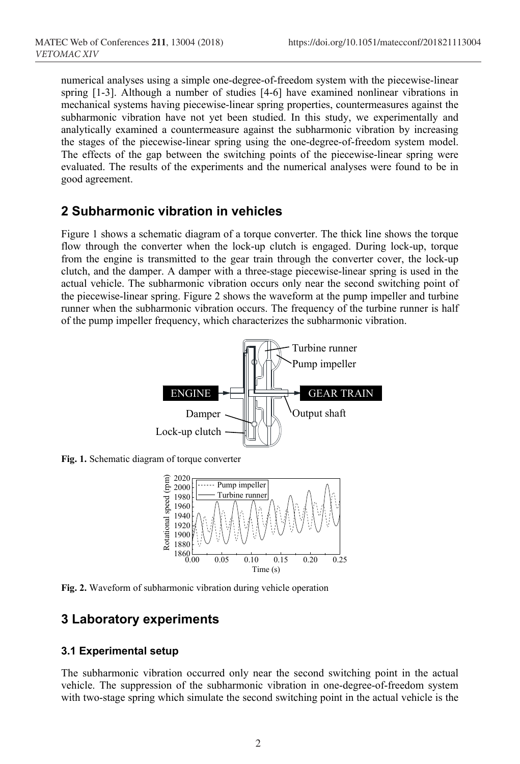numerical analyses using a simple one-degree-of-freedom system with the piecewise-linear spring [1-3]. Although a number of studies [4-6] have examined nonlinear vibrations in mechanical systems having piecewise-linear spring properties, countermeasures against the subharmonic vibration have not yet been studied. In this study, we experimentally and analytically examined a countermeasure against the subharmonic vibration by increasing the stages of the piecewise-linear spring using the one-degree-of-freedom system model. The effects of the gap between the switching points of the piecewise-linear spring were evaluated. The results of the experiments and the numerical analyses were found to be in good agreement.

## **2 Subharmonic vibration in vehicles**

Figure 1 shows a schematic diagram of a torque converter. The thick line shows the torque flow through the converter when the lock-up clutch is engaged. During lock-up, torque from the engine is transmitted to the gear train through the converter cover, the lock-up clutch, and the damper. A damper with a three-stage piecewise-linear spring is used in the actual vehicle. The subharmonic vibration occurs only near the second switching point of the piecewise-linear spring. Figure 2 shows the waveform at the pump impeller and turbine runner when the subharmonic vibration occurs. The frequency of the turbine runner is half of the pump impeller frequency, which characterizes the subharmonic vibration.



**Fig. 1.** Schematic diagram of torque converter



**Fig. 2.** Waveform of subharmonic vibration during vehicle operation

# **3 Laboratory experiments**

### **3.1 Experimental setup**

The subharmonic vibration occurred only near the second switching point in the actual vehicle. The suppression of the subharmonic vibration in one-degree-of-freedom system with two-stage spring which simulate the second switching point in the actual vehicle is the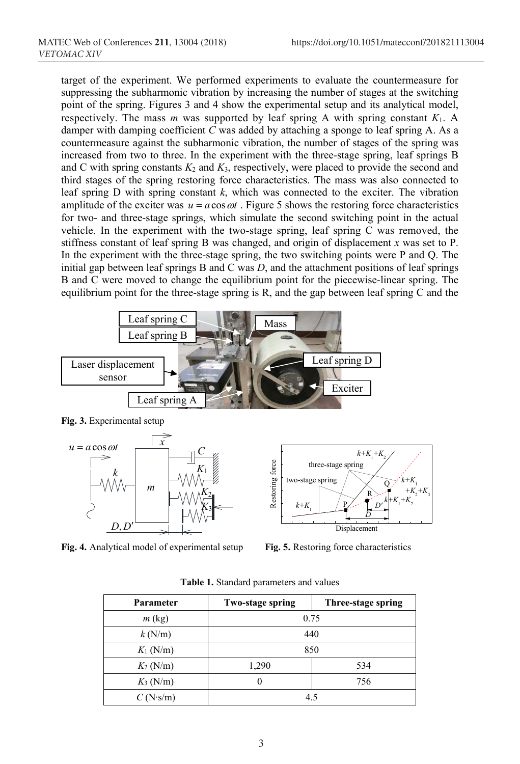target of the experiment. We performed experiments to evaluate the countermeasure for suppressing the subharmonic vibration by increasing the number of stages at the switching point of the spring. Figures 3 and 4 show the experimental setup and its analytical model, respectively. The mass *m* was supported by leaf spring A with spring constant  $K_1$ . A damper with damping coefficient *C* was added by attaching a sponge to leaf spring A. As a countermeasure against the subharmonic vibration, the number of stages of the spring was increased from two to three. In the experiment with the three-stage spring, leaf springs B and C with spring constants  $K_2$  and  $K_3$ , respectively, were placed to provide the second and third stages of the spring restoring force characteristics. The mass was also connected to leaf spring D with spring constant *k*, which was connected to the exciter. The vibration amplitude of the exciter was  $u = a \cos \omega t$ . Figure 5 shows the restoring force characteristics for two- and three-stage springs, which simulate the second switching point in the actual vehicle. In the experiment with the two-stage spring, leaf spring C was removed, the stiffness constant of leaf spring B was changed, and origin of displacement *x* was set to P. In the experiment with the three-stage spring, the two switching points were P and Q. The initial gap between leaf springs B and C was *D*, and the attachment positions of leaf springs B and C were moved to change the equilibrium point for the piecewise-linear spring. The equilibrium point for the three-stage spring is R, and the gap between leaf spring C and the









P

Displacement

three-stage spring

R

*D' D*

Q

 $+K_{2}$  $+K_{3}$ 

 $k+K_1+K_2$ 

 $k + K_1 + K_2$ 

| Parameter       | <b>Two-stage spring</b> | Three-stage spring |
|-----------------|-------------------------|--------------------|
| $m$ (kg)        | 0.75                    |                    |
| k(N/m)          | 440                     |                    |
| $K_1(N/m)$      | 850                     |                    |
| $K_2(N/m)$      | 1,290                   | 534                |
| $K_3(N/m)$      |                         | 756                |
| $C(N\cdot s/m)$ | 4.5                     |                    |

**Table 1.** Standard parameters and values

Restoring force

Restoring force

*k+K*<sup>1</sup>

two-stage spring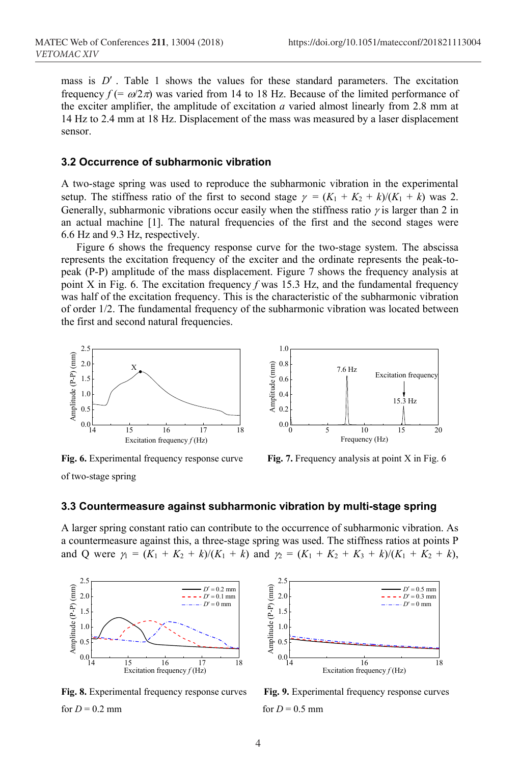mass is  $D'$ . Table 1 shows the values for these standard parameters. The excitation frequency  $f = \omega/2\pi$ ) was varied from 14 to 18 Hz. Because of the limited performance of the exciter amplifier, the amplitude of excitation *a* varied almost linearly from 2.8 mm at 14 Hz to 2.4 mm at 18 Hz. Displacement of the mass was measured by a laser displacement sensor.

#### **3.2 Occurrence of subharmonic vibration**

A two-stage spring was used to reproduce the subharmonic vibration in the experimental setup. The stiffness ratio of the first to second stage  $\gamma = (K_1 + K_2 + k)/(K_1 + k)$  was 2. Generally, subharmonic vibrations occur easily when the stiffness ratio  $\gamma$  is larger than 2 in an actual machine [1]. The natural frequencies of the first and the second stages were 6.6 Hz and 9.3 Hz, respectively.

Figure 6 shows the frequency response curve for the two-stage system. The abscissa represents the excitation frequency of the exciter and the ordinate represents the peak-topeak (P-P) amplitude of the mass displacement. Figure 7 shows the frequency analysis at point X in Fig. 6. The excitation frequency  $f$  was 15.3 Hz, and the fundamental frequency was half of the excitation frequency. This is the characteristic of the subharmonic vibration of order 1/2. The fundamental frequency of the subharmonic vibration was located between the first and second natural frequencies.





**Fig. 6.** Experimental frequency response curve Fig. 7. Frequency analysis at point X in Fig. 6

of two-stage spring

#### **3.3 Countermeasure against subharmonic vibration by multi-stage spring**

A larger spring constant ratio can contribute to the occurrence of subharmonic vibration. As a countermeasure against this, a three-stage spring was used. The stiffness ratios at points P and Q were  $\gamma_1 = (K_1 + K_2 + k)/(K_1 + k)$  and  $\gamma_2 = (K_1 + K_2 + K_3 + k)/(K_1 + K_2 + k)$ ,



**Fig. 8.** Experimental frequency response curves **Fig. 9.** Experimental frequency response curves for  $D = 0.2$  mm for  $D = 0.5$  mm

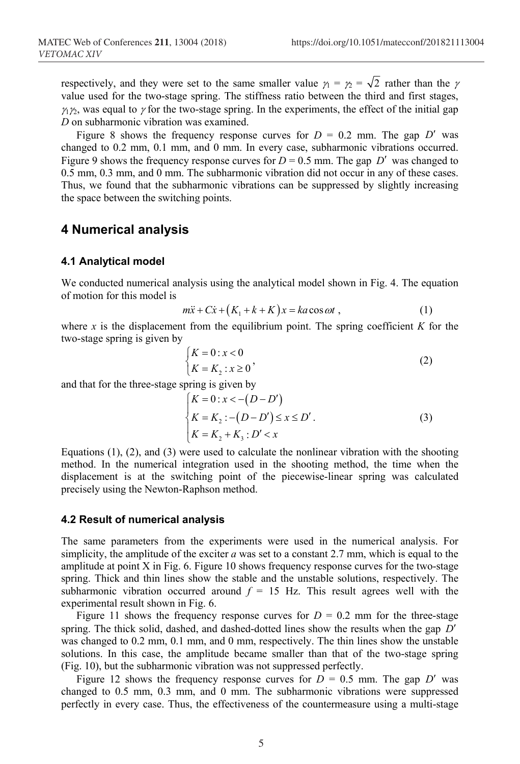respectively, and they were set to the same smaller value  $\gamma_1 = \gamma_2 = \sqrt{2}$  rather than the  $\gamma$ value used for the two-stage spring. The stiffness ratio between the third and first stages,  $\gamma_1$  /2, was equal to  $\gamma$  for the two-stage spring. In the experiments, the effect of the initial gap *D* on subharmonic vibration was examined.

Figure 8 shows the frequency response curves for  $D = 0.2$  mm. The gap  $D'$  was changed to 0.2 mm, 0.1 mm, and 0 mm. In every case, subharmonic vibrations occurred. Figure 9 shows the frequency response curves for  $D = 0.5$  mm. The gap  $D'$  was changed to 0.5 mm, 0.3 mm, and 0 mm. The subharmonic vibration did not occur in any of these cases. Thus, we found that the subharmonic vibrations can be suppressed by slightly increasing the space between the switching points.

### **4 Numerical analysis**

#### **4.1 Analytical model**

We conducted numerical analysis using the analytical model shown in Fig. 4. The equation of motion for this model is

$$
m\ddot{x} + C\dot{x} + (K_1 + k + K)x = ka\cos\omega t, \qquad (1)
$$

where  $x$  is the displacement from the equilibrium point. The spring coefficient  $K$  for the two-stage spring is given by

$$
\begin{cases}\nK = 0: x < 0 \\
K = K_2: x \ge 0\n\end{cases} \tag{2}
$$

and that for the three-stage spring is given by

$$
\begin{cases}\nK = 0: x < -(D - D') \\
K = K_2: -(D - D') \le x \le D'. \\
K = K_2 + K_3: D' < x\n\end{cases}
$$
\n(3)

Equations  $(1)$ ,  $(2)$ , and  $(3)$  were used to calculate the nonlinear vibration with the shooting method. In the numerical integration used in the shooting method, the time when the displacement is at the switching point of the piecewise-linear spring was calculated precisely using the Newton-Raphson method.

#### **4.2 Result of numerical analysis**

The same parameters from the experiments were used in the numerical analysis. For simplicity, the amplitude of the exciter *a* was set to a constant 2.7 mm, which is equal to the amplitude at point X in Fig. 6. Figure 10 shows frequency response curves for the two-stage spring. Thick and thin lines show the stable and the unstable solutions, respectively. The subharmonic vibration occurred around  $f = 15$  Hz. This result agrees well with the experimental result shown in Fig. 6.

Figure 11 shows the frequency response curves for  $D = 0.2$  mm for the three-stage spring. The thick solid, dashed, and dashed-dotted lines show the results when the gap *D* was changed to 0.2 mm, 0.1 mm, and 0 mm, respectively. The thin lines show the unstable solutions. In this case, the amplitude became smaller than that of the two-stage spring (Fig. 10), but the subharmonic vibration was not suppressed perfectly.

Figure 12 shows the frequency response curves for  $D = 0.5$  mm. The gap  $D'$  was changed to 0.5 mm, 0.3 mm, and 0 mm. The subharmonic vibrations were suppressed perfectly in every case. Thus, the effectiveness of the countermeasure using a multi-stage